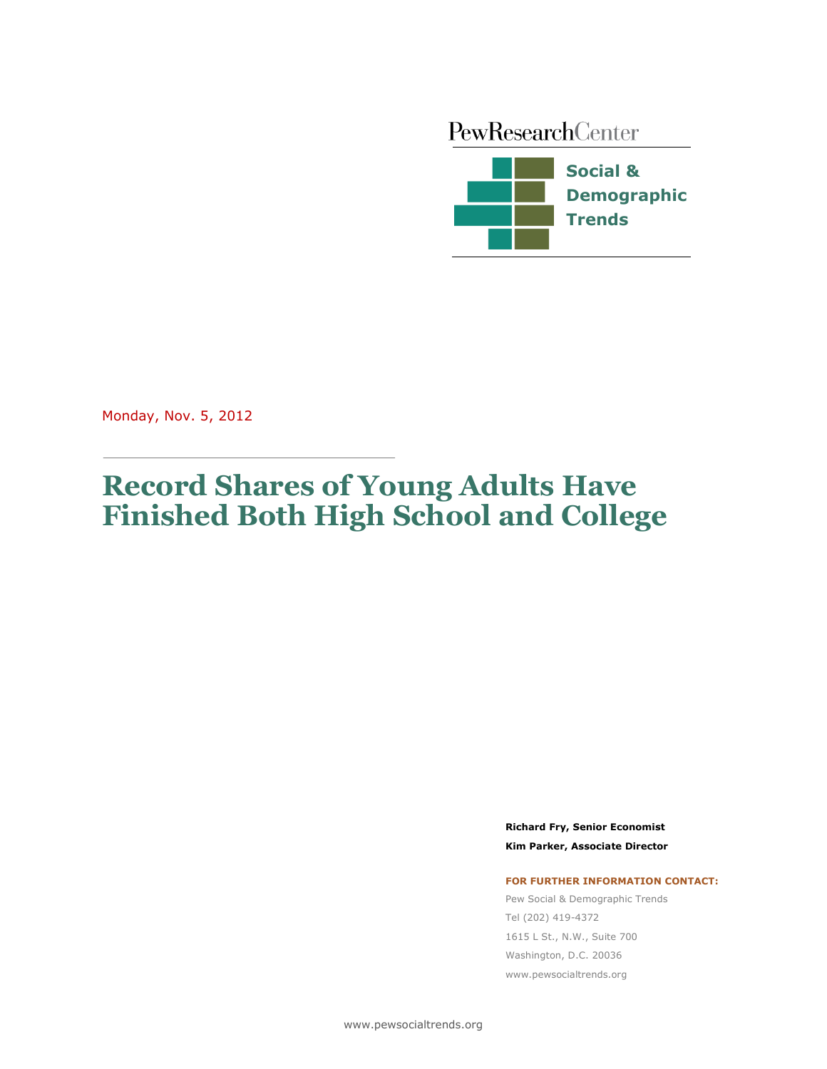PewResearchCenter



Monday, Nov. 5, 2012

# **Record Shares of Young Adults Have Finished Both High School and College**

**Richard Fry, Senior Economist Kim Parker, Associate Director**

#### **FOR FURTHER INFORMATION CONTACT:**

Pew Social & Demographic Trends Tel (202) 419-4372 1615 L St., N.W., Suite 700 Washington, D.C. 20036 www.pewsocialtrends.org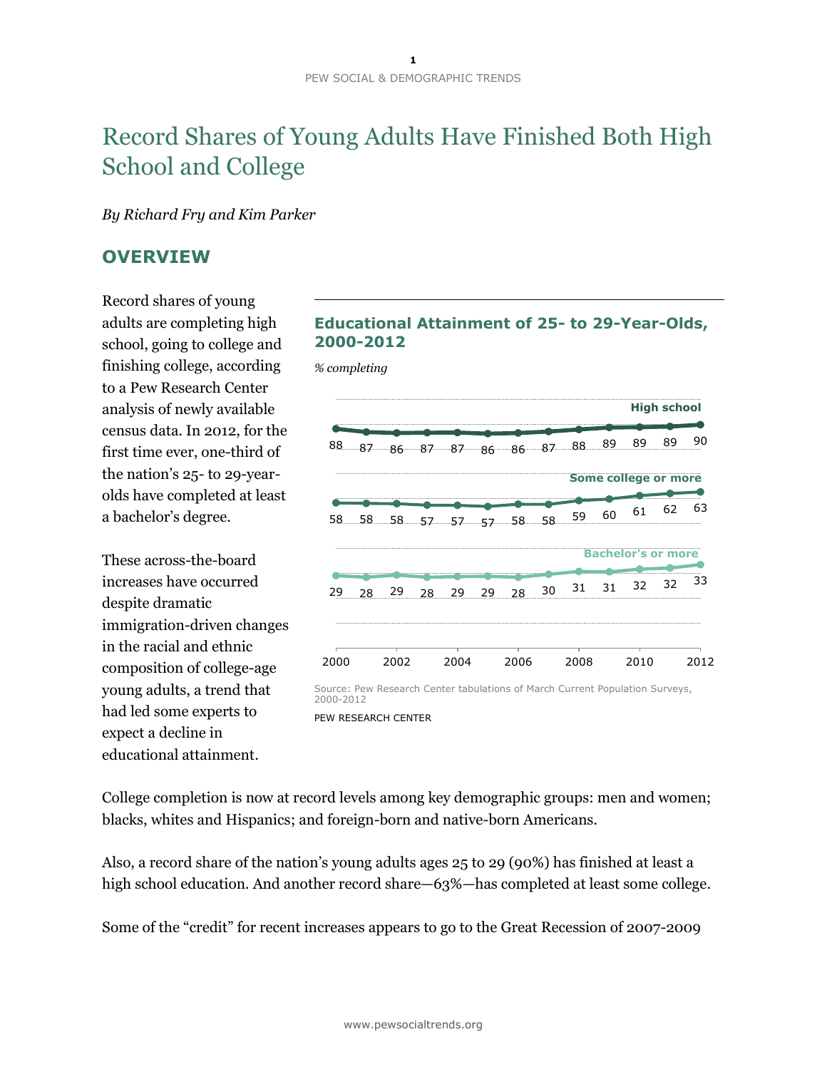# Record Shares of Young Adults Have Finished Both High School and College

*By Richard Fry and Kim Parker*

## **OVERVIEW**

Record shares of young adults are completing high school, going to college and finishing college, according to a Pew Research Center analysis of newly available census data. In 2012, for the first time ever, one-third of the nation's 25- to 29-yearolds have completed at least a bachelor's degree.

These across-the-board increases have occurred despite dramatic immigration-driven changes in the racial and ethnic composition of college-age young adults, a trend that had led some experts to expect a decline in educational attainment.

### **Educational Attainment of 25- to 29-Year-Olds, 2000-2012**

<sup>29</sup> <sup>28</sup> <sup>29</sup> <sup>28</sup> <sup>29</sup> <sup>29</sup> <sup>28</sup> <sup>30</sup> <sup>31</sup> <sup>31</sup> <sup>32</sup> <sup>32</sup> <sup>33</sup> <sup>88</sup> <sup>87</sup> <sup>86</sup> <sup>87</sup> <sup>87</sup> <sup>86</sup> <sup>86</sup> <sup>87</sup> <sup>88</sup> <sup>89</sup> <sup>89</sup> <sup>89</sup> <sup>90</sup> <sup>58</sup> <sup>58</sup> <sup>58</sup> <sup>57</sup> <sup>57</sup> <sup>57</sup> <sup>58</sup> <sup>58</sup> <sup>59</sup> <sup>60</sup> <sup>61</sup> <sup>62</sup> <sup>63</sup> 2000 2002 2004 2006 2008 2010 2012 **High school Bachelor's or more Some college or more** *% completing* Source: Pew Research Center tabulations of March Current Population Surveys, 2000-2012 PEW RESEARCH CENTER

College completion is now at record levels among key demographic groups: men and women; blacks, whites and Hispanics; and foreign-born and native-born Americans.

Also, a record share of the nation's young adults ages 25 to 29 (90%) has finished at least a high school education. And another record share—63%—has completed at least some college.

Some of the "credit" for recent increases appears to go to the Great Recession of 2007-2009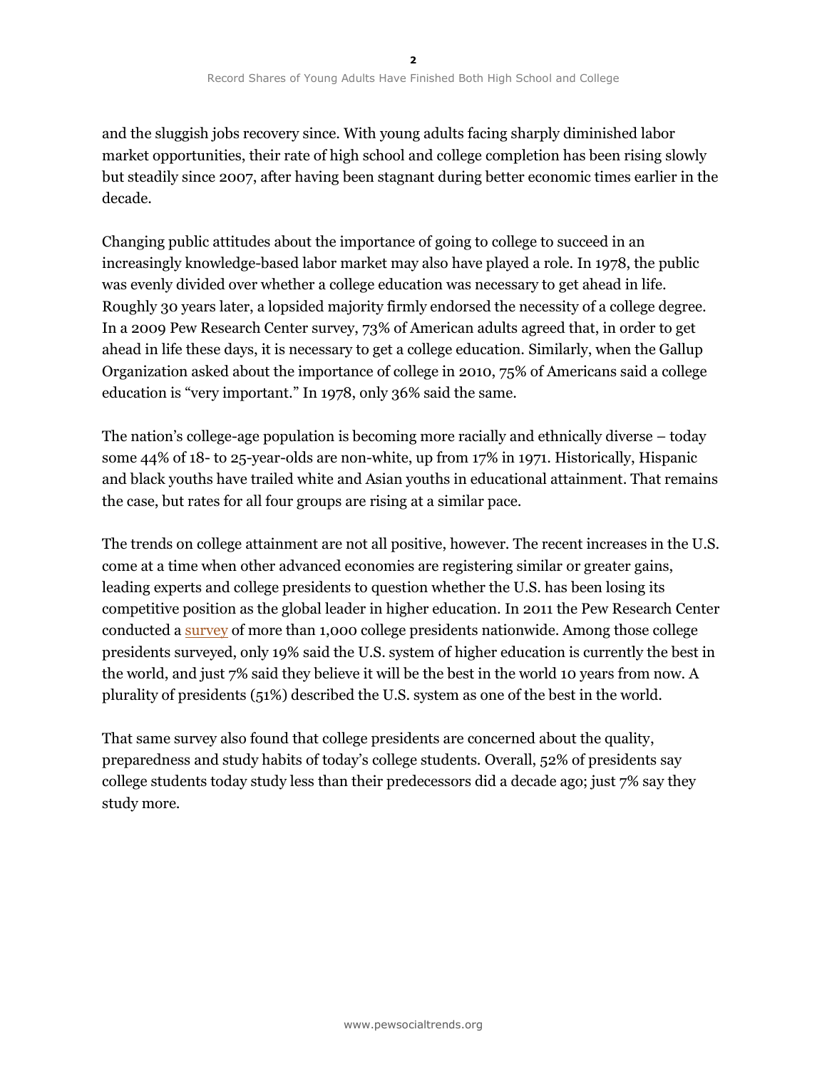and the sluggish jobs recovery since. With young adults facing sharply diminished labor market opportunities, their rate of high school and college completion has been rising slowly but steadily since 2007, after having been stagnant during better economic times earlier in the decade.

Changing public attitudes about the importance of going to college to succeed in an increasingly knowledge-based labor market may also have played a role. In 1978, the public was evenly divided over whether a college education was necessary to get ahead in life. Roughly 30 years later, a lopsided majority firmly endorsed the necessity of a college degree. In a 2009 Pew Research Center survey, 73% of American adults agreed that, in order to get ahead in life these days, it is necessary to get a college education. Similarly, when the Gallup Organization asked about the importance of college in 2010, 75% of Americans said a college education is "very important." In 1978, only 36% said the same.

The nation's college-age population is becoming more racially and ethnically diverse – today some 44% of 18- to 25-year-olds are non-white, up from 17% in 1971. Historically, Hispanic and black youths have trailed white and Asian youths in educational attainment. That remains the case, but rates for all four groups are rising at a similar pace.

The trends on college attainment are not all positive, however. The recent increases in the U.S. come at a time when other advanced economies are registering similar or greater gains, leading experts and college presidents to question whether the U.S. has been losing its competitive position as the global leader in higher education. In 2011 the Pew Research Center conducted a [survey](http://www.pewsocialtrends.org/2011/05/15/is-college-worth-it/) of more than 1,000 college presidents nationwide. Among those college presidents surveyed, only 19% said the U.S. system of higher education is currently the best in the world, and just 7% said they believe it will be the best in the world 10 years from now. A plurality of presidents (51%) described the U.S. system as one of the best in the world.

That same survey also found that college presidents are concerned about the quality, preparedness and study habits of today's college students. Overall, 52% of presidents say college students today study less than their predecessors did a decade ago; just 7% say they study more.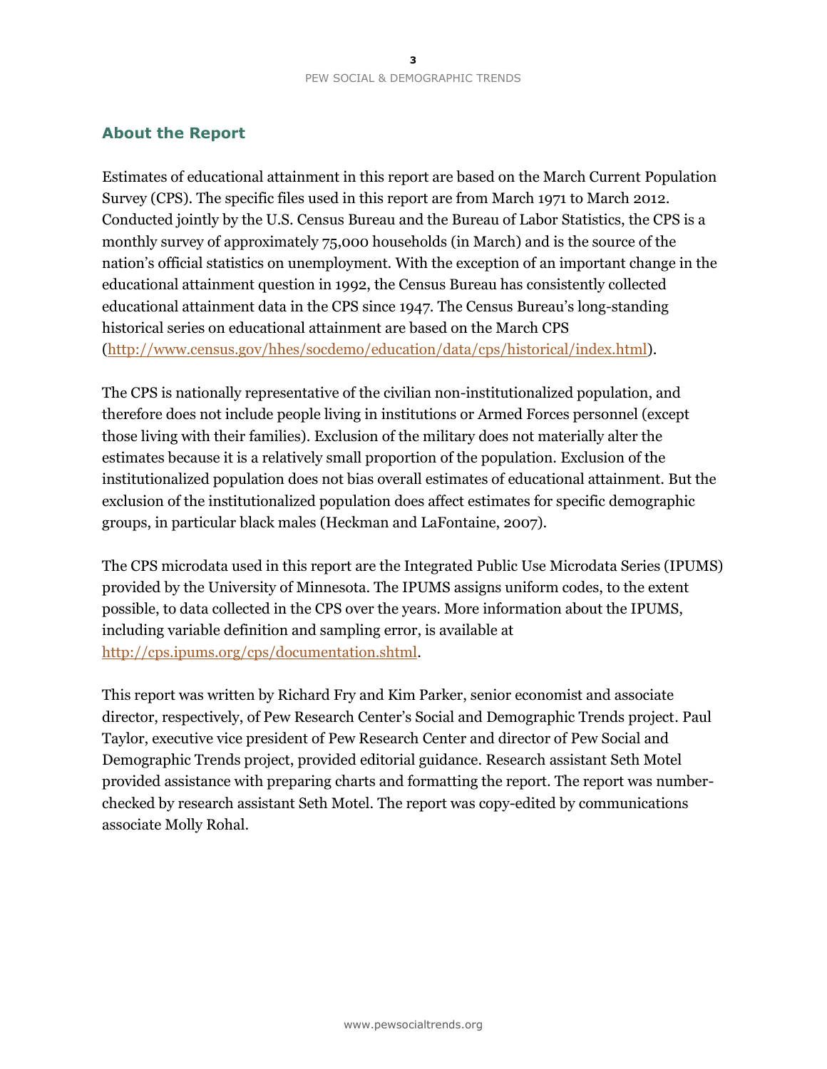### **About the Report**

Estimates of educational attainment in this report are based on the March Current Population Survey (CPS). The specific files used in this report are from March 1971 to March 2012. Conducted jointly by the U.S. Census Bureau and the Bureau of Labor Statistics, the CPS is a monthly survey of approximately 75,000 households (in March) and is the source of the nation's official statistics on unemployment. With the exception of an important change in the educational attainment question in 1992, the Census Bureau has consistently collected educational attainment data in the CPS since 1947. The Census Bureau's long-standing historical series on educational attainment are based on the March CPS [\(http://www.census.gov/hhes/socdemo/education/data/cps/historical/index.html\)](http://www.census.gov/hhes/socdemo/education/data/cps/historical/index.html).

The CPS is nationally representative of the civilian non-institutionalized population, and therefore does not include people living in institutions or Armed Forces personnel (except those living with their families). Exclusion of the military does not materially alter the estimates because it is a relatively small proportion of the population. Exclusion of the institutionalized population does not bias overall estimates of educational attainment. But the exclusion of the institutionalized population does affect estimates for specific demographic groups, in particular black males (Heckman and LaFontaine, 2007).

The CPS microdata used in this report are the Integrated Public Use Microdata Series (IPUMS) provided by the University of Minnesota. The IPUMS assigns uniform codes, to the extent possible, to data collected in the CPS over the years. More information about the IPUMS, including variable definition and sampling error, is available at [http://cps.ipums.org/cps/documentation.shtml.](http://cps.ipums.org/cps/documentation.shtml)

This report was written by Richard Fry and Kim Parker, senior economist and associate director, respectively, of Pew Research Center's Social and Demographic Trends project. Paul Taylor, executive vice president of Pew Research Center and director of Pew Social and Demographic Trends project, provided editorial guidance. Research assistant Seth Motel provided assistance with preparing charts and formatting the report. The report was numberchecked by research assistant Seth Motel. The report was copy-edited by communications associate Molly Rohal.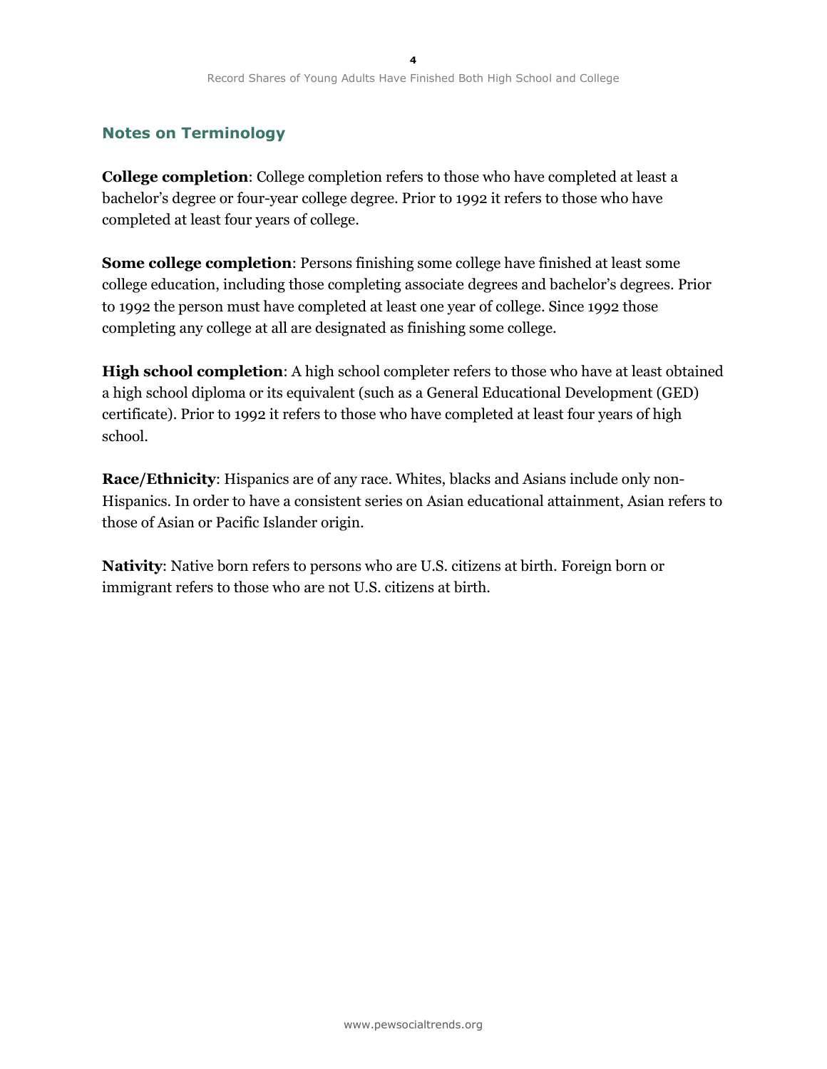# **Notes on Terminology**

**College completion**: College completion refers to those who have completed at least a bachelor's degree or four-year college degree. Prior to 1992 it refers to those who have completed at least four years of college.

**Some college completion**: Persons finishing some college have finished at least some college education, including those completing associate degrees and bachelor's degrees. Prior to 1992 the person must have completed at least one year of college. Since 1992 those completing any college at all are designated as finishing some college.

**High school completion**: A high school completer refers to those who have at least obtained a high school diploma or its equivalent (such as a General Educational Development (GED) certificate). Prior to 1992 it refers to those who have completed at least four years of high school.

**Race/Ethnicity**: Hispanics are of any race. Whites, blacks and Asians include only non-Hispanics. In order to have a consistent series on Asian educational attainment, Asian refers to those of Asian or Pacific Islander origin.

**Nativity**: Native born refers to persons who are U.S. citizens at birth. Foreign born or immigrant refers to those who are not U.S. citizens at birth.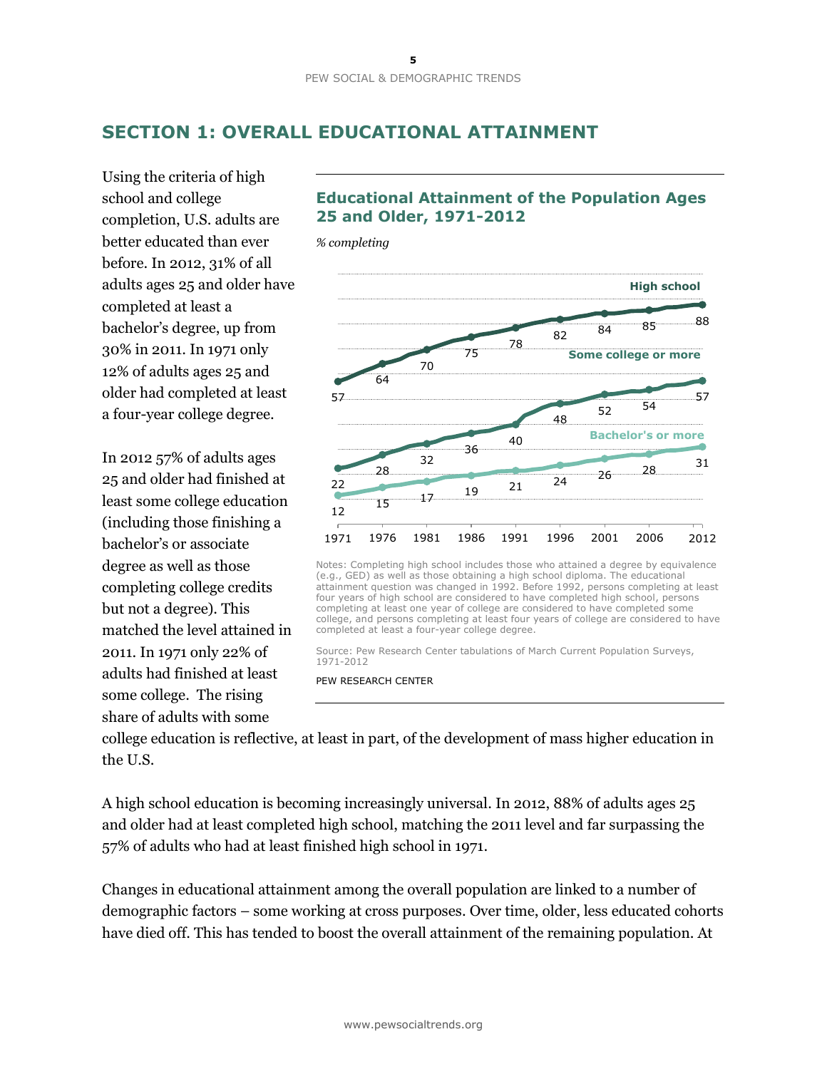# **SECTION 1: OVERALL EDUCATIONAL ATTAINMENT**

Using the criteria of high school and college completion, U.S. adults are better educated than ever before. In 2012, 31% of all adults ages 25 and older have completed at least a bachelor's degree, up from 30% in 2011. In 1971 only 12% of adults ages 25 and older had completed at least a four-year college degree.

In 2012 57% of adults ages 25 and older had finished at least some college education (including those finishing a bachelor's or associate degree as well as those completing college credits but not a degree). This matched the level attained in 2011. In 1971 only 22% of adults had finished at least some college. The rising share of adults with some

# **Educational Attainment of the Population Ages 25 and Older, 1971-2012**



Notes: Completing high school includes those who attained a degree by equivalence (e.g., GED) as well as those obtaining a high school diploma. The educational attainment question was changed in 1992. Before 1992, persons completing at least four years of high school are considered to have completed high school, persons completing at least one year of college are considered to have completed some college, and persons completing at least four years of college are considered to have completed at least a four-year college degree.

Source: Pew Research Center tabulations of March Current Population Surveys, 1971-2012

PEW RESEARCH CENTER

college education is reflective, at least in part, of the development of mass higher education in the U.S.

A high school education is becoming increasingly universal. In 2012, 88% of adults ages 25 and older had at least completed high school, matching the 2011 level and far surpassing the 57% of adults who had at least finished high school in 1971.

Changes in educational attainment among the overall population are linked to a number of demographic factors – some working at cross purposes. Over time, older, less educated cohorts have died off. This has tended to boost the overall attainment of the remaining population. At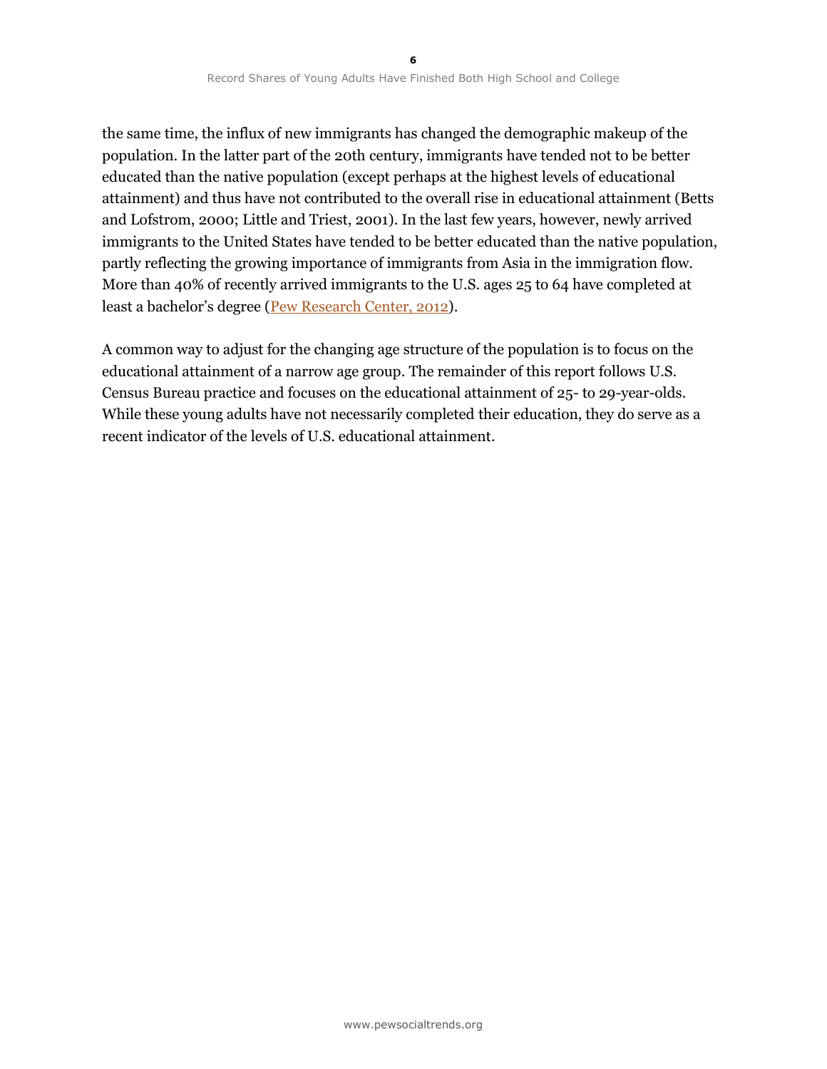the same time, the influx of new immigrants has changed the demographic makeup of the population. In the latter part of the 20th century, immigrants have tended not to be better educated than the native population (except perhaps at the highest levels of educational attainment) and thus have not contributed to the overall rise in educational attainment (Betts and Lofstrom, 2000; Little and Triest, 2001). In the last few years, however, newly arrived immigrants to the United States have tended to be better educated than the native population, partly reflecting the growing importance of immigrants from Asia in the immigration flow. More than 40% of recently arrived immigrants to the U.S. ages 25 to 64 have completed at least a bachelor's degree ([Pew Research Center, 2012\)](http://www.pewsocialtrends.org/2012/06/19/the-rise-of-asian-americans/).

A common way to adjust for the changing age structure of the population is to focus on the educational attainment of a narrow age group. The remainder of this report follows U.S. Census Bureau practice and focuses on the educational attainment of 25- to 29-year-olds. While these young adults have not necessarily completed their education, they do serve as a recent indicator of the levels of U.S. educational attainment.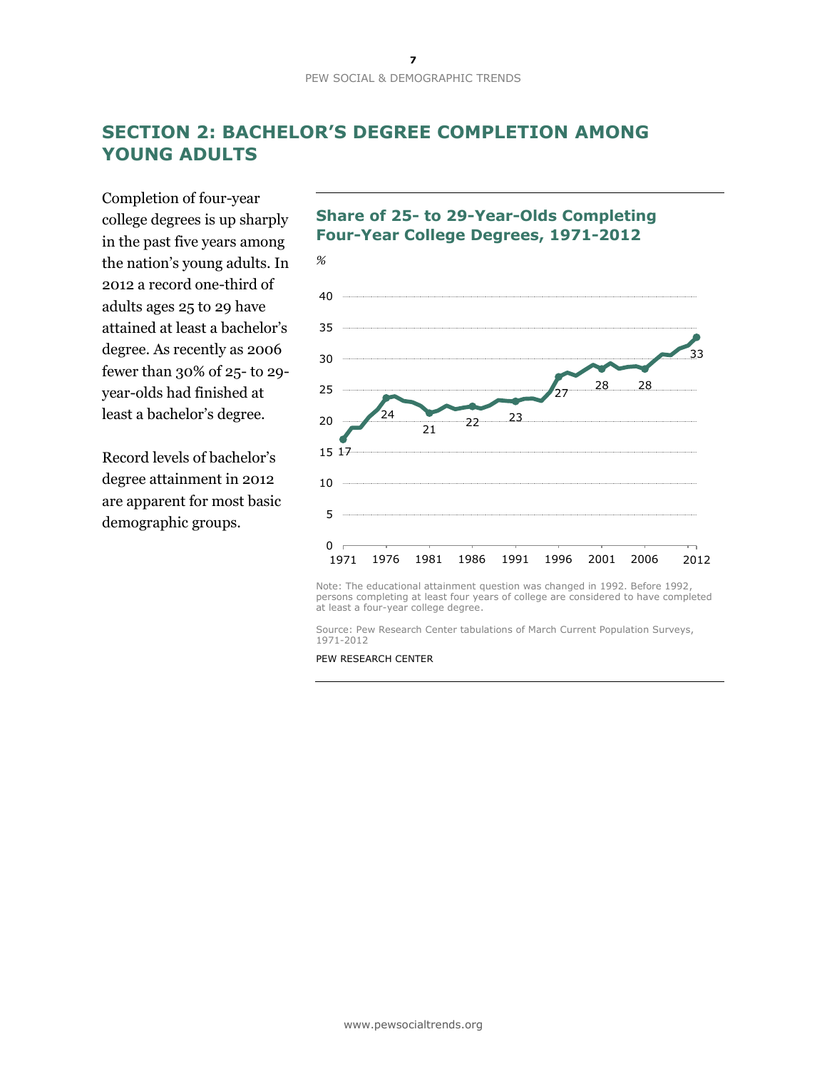# **SECTION 2: BACHELOR'S DEGREE COMPLETION AMONG YOUNG ADULTS**

Completion of four-year college degrees is up sharply in the past five years among the nation's young adults. In 2012 a record one-third of adults ages 25 to 29 have attained at least a bachelor's degree. As recently as 2006 fewer than 30% of 25- to 29 year-olds had finished at least a bachelor's degree.

Record levels of bachelor's degree attainment in 2012 are apparent for most basic demographic groups.

### **Share of 25- to 29-Year-Olds Completing Four-Year College Degrees, 1971-2012**



Note: The educational attainment question was changed in 1992. Before 1992, persons completing at least four years of college are considered to have completed at least a four-year college degree.

Source: Pew Research Center tabulations of March Current Population Surveys, 1971-2012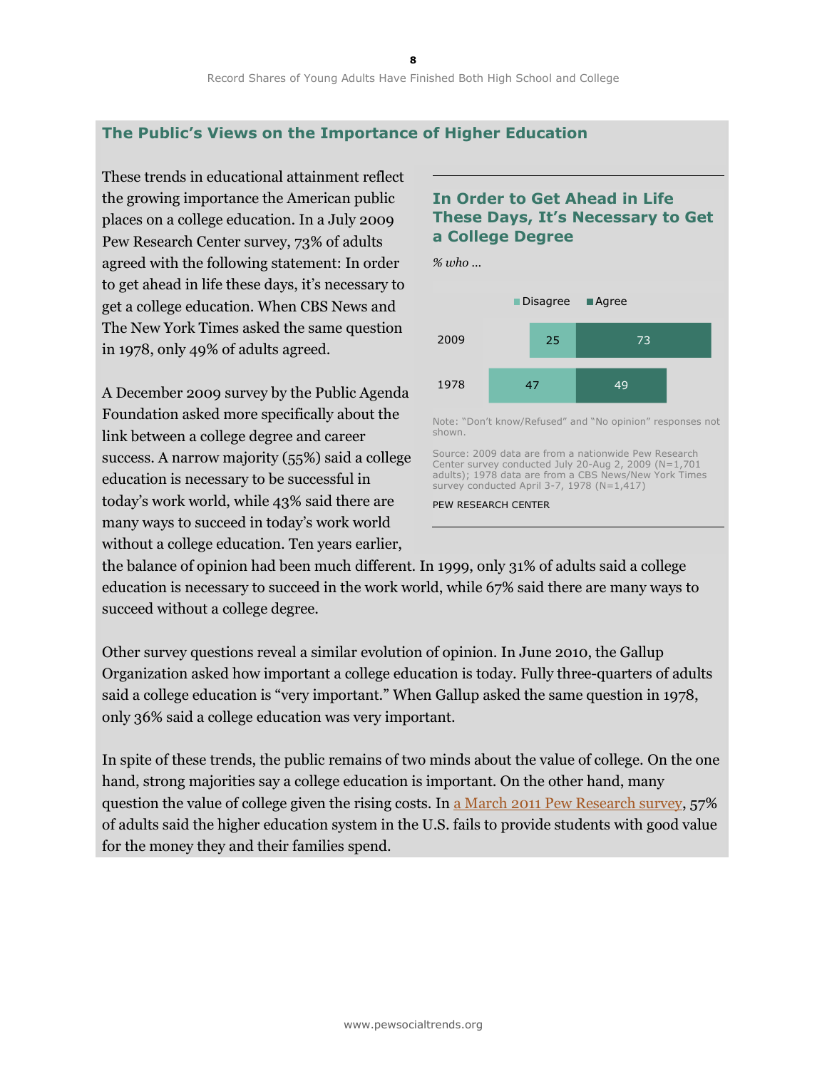### **The Public's Views on the Importance of Higher Education**

These trends in educational attainment reflect the growing importance the American public places on a college education. In a July 2009 Pew Research Center survey, 73% of adults agreed with the following statement: In order to get ahead in life these days, it's necessary to get a college education. When CBS News and The New York Times asked the same question in 1978, only 49% of adults agreed.

A December 2009 survey by the Public Agenda Foundation asked more specifically about the link between a college degree and career success. A narrow majority (55%) said a college education is necessary to be successful in today's work world, while 43% said there are many ways to succeed in today's work world without a college education. Ten years earlier,

### **In Order to Get Ahead in Life These Days, It's Necessary to Get a College Degree**



the balance of opinion had been much different. In 1999, only 31% of adults said a college education is necessary to succeed in the work world, while 67% said there are many ways to succeed without a college degree.

Other survey questions reveal a similar evolution of opinion. In June 2010, the Gallup Organization asked how important a college education is today. Fully three-quarters of adults said a college education is "very important." When Gallup asked the same question in 1978, only 36% said a college education was very important.

In spite of these trends, the public remains of two minds about the value of college. On the one hand, strong majorities say a college education is important. On the other hand, many question the value of college given the rising costs. In a [March 2011 Pew Research survey,](http://www.pewsocialtrends.org/2011/05/15/is-college-worth-it/) 57% of adults said the higher education system in the U.S. fails to provide students with good value for the money they and their families spend.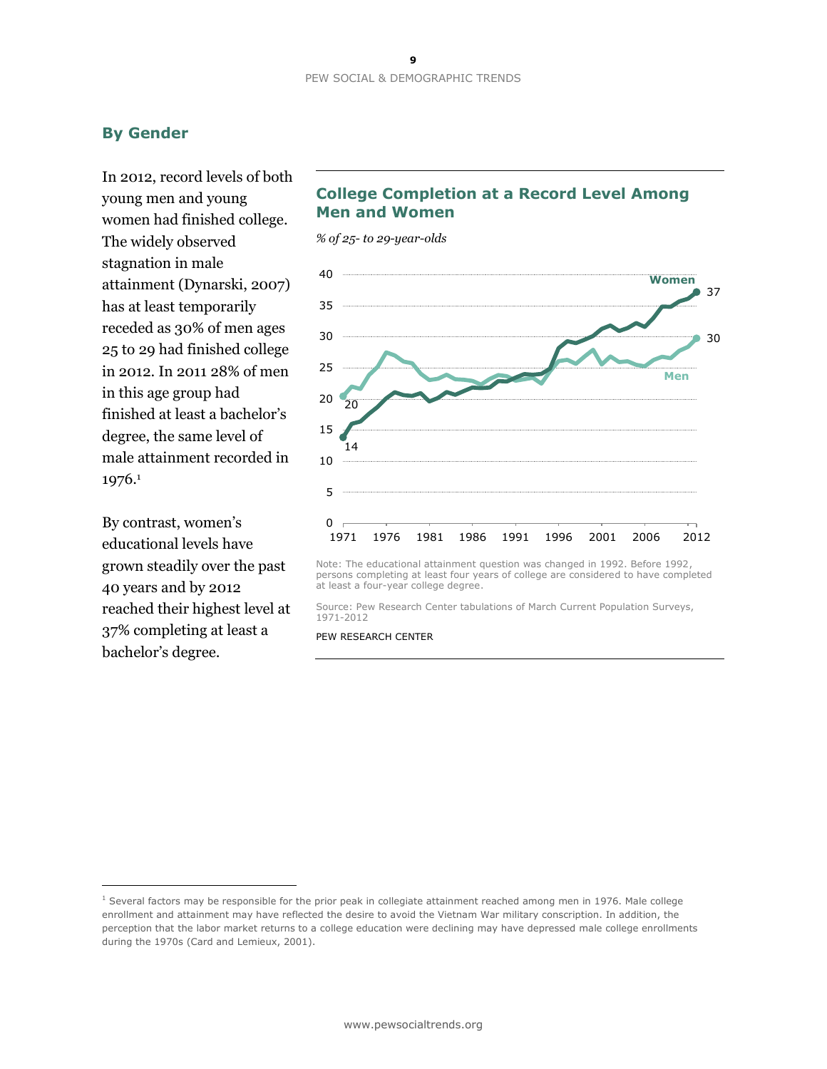# **By Gender**

In 2012, record levels of both young men and young women had finished college. The widely observed stagnation in male attainment (Dynarski, 2007) has at least temporarily receded as 30% of men ages 25 to 29 had finished college in 2012. In 2011 28% of men in this age group had finished at least a bachelor's degree, the same level of male attainment recorded in 1976.<sup>1</sup>

By contrast, women's educational levels have grown steadily over the past 40 years and by 2012 reached their highest level at 37% completing at least a bachelor's degree.

 $\overline{a}$ 

# **College Completion at a Record Level Among Men and Women**

*% of 25- to 29-year-olds*



Note: The educational attainment question was changed in 1992. Before 1992, persons completing at least four years of college are considered to have completed at least a four-year college degree.

Source: Pew Research Center tabulations of March Current Population Surveys, 1971-2012

 $1$  Several factors may be responsible for the prior peak in collegiate attainment reached among men in 1976. Male college enrollment and attainment may have reflected the desire to avoid the Vietnam War military conscription. In addition, the perception that the labor market returns to a college education were declining may have depressed male college enrollments during the 1970s (Card and Lemieux, 2001).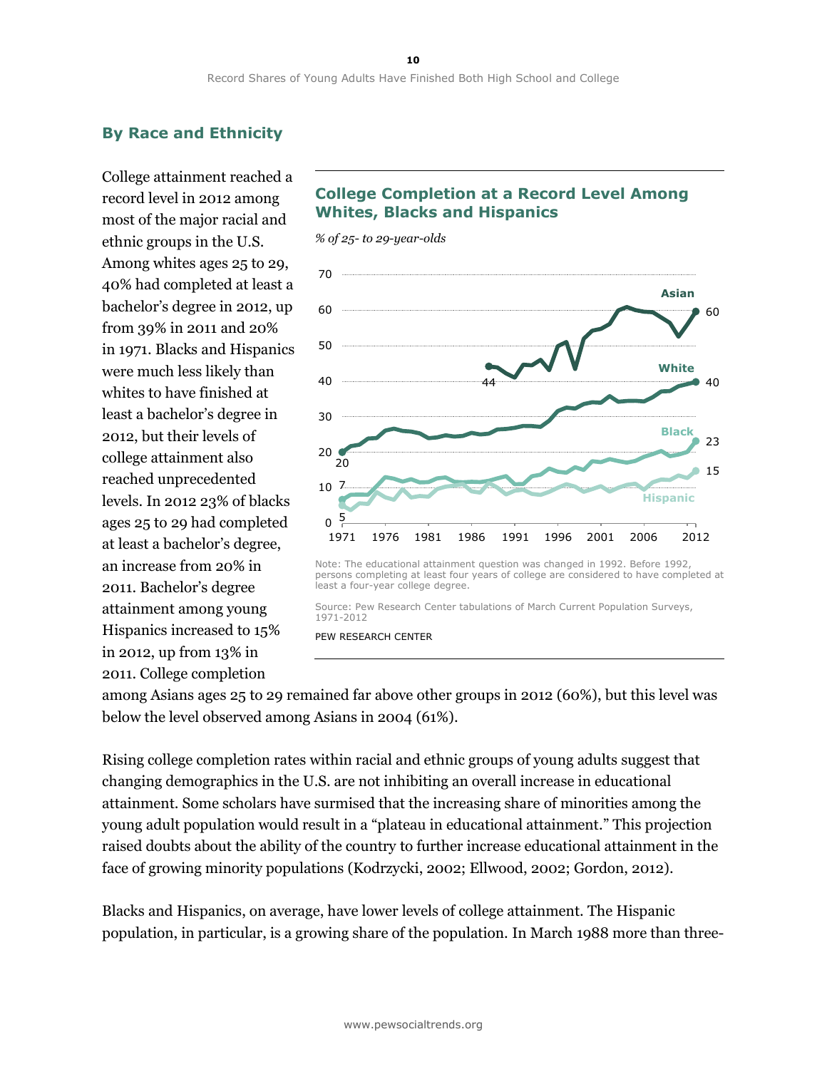# **By Race and Ethnicity**

College attainment reached a record level in 2012 among most of the major racial and ethnic groups in the U.S. Among whites ages 25 to 29, 40% had completed at least a bachelor's degree in 2012, up from 39% in 2011 and 20% in 1971. Blacks and Hispanics were much less likely than whites to have finished at least a bachelor's degree in 2012, but their levels of college attainment also reached unprecedented levels. In 2012 23% of blacks ages 25 to 29 had completed at least a bachelor's degree, an increase from 20% in 2011. Bachelor's degree attainment among young Hispanics increased to 15% in 2012, up from 13% in 2011. College completion

# **College Completion at a Record Level Among Whites, Blacks and Hispanics**



Source: Pew Research Center tabulations of March Current Population Surveys, 1971-2012

#### PEW RESEARCH CENTER

among Asians ages 25 to 29 remained far above other groups in 2012 (60%), but this level was below the level observed among Asians in 2004 (61%).

Rising college completion rates within racial and ethnic groups of young adults suggest that changing demographics in the U.S. are not inhibiting an overall increase in educational attainment. Some scholars have surmised that the increasing share of minorities among the young adult population would result in a "plateau in educational attainment." This projection raised doubts about the ability of the country to further increase educational attainment in the face of growing minority populations (Kodrzycki, 2002; Ellwood, 2002; Gordon, 2012).

Blacks and Hispanics, on average, have lower levels of college attainment. The Hispanic population, in particular, is a growing share of the population. In March 1988 more than three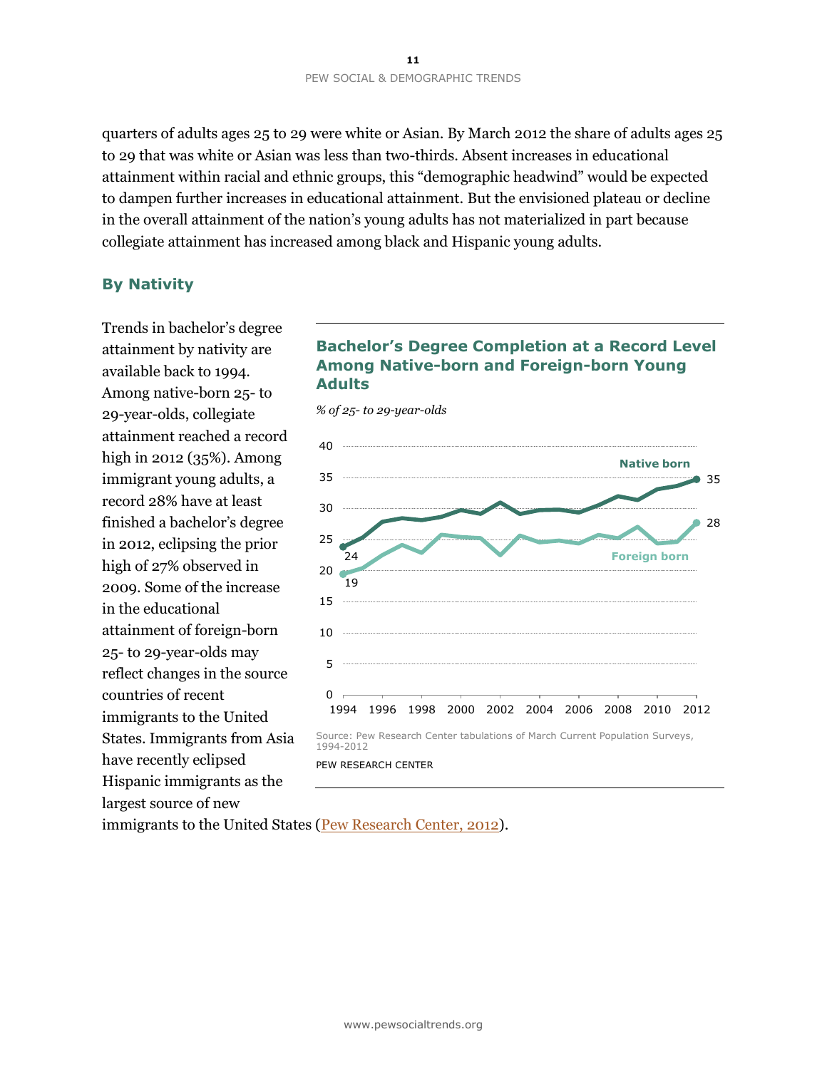quarters of adults ages 25 to 29 were white or Asian. By March 2012 the share of adults ages 25 to 29 that was white or Asian was less than two-thirds. Absent increases in educational attainment within racial and ethnic groups, this "demographic headwind" would be expected to dampen further increases in educational attainment. But the envisioned plateau or decline in the overall attainment of the nation's young adults has not materialized in part because collegiate attainment has increased among black and Hispanic young adults.

### **By Nativity**

Trends in bachelor's degree attainment by nativity are available back to 1994. Among native-born 25- to 29-year-olds, collegiate attainment reached a record high in 2012 (35%). Among immigrant young adults, a record 28% have at least finished a bachelor's degree in 2012, eclipsing the prior high of 27% observed in 2009. Some of the increase in the educational attainment of foreign-born 25- to 29-year-olds may reflect changes in the source countries of recent immigrants to the United States. Immigrants from Asia have recently eclipsed Hispanic immigrants as the largest source of new

### **Bachelor's Degree Completion at a Record Level Among Native-born and Foreign-born Young Adults**

*% of 25- to 29-year-olds*



PEW RESEARCH CENTER

immigrants to the United States [\(Pew Research Center, 2012\)](http://www.pewsocialtrends.org/2012/06/19/the-rise-of-asian-americans/).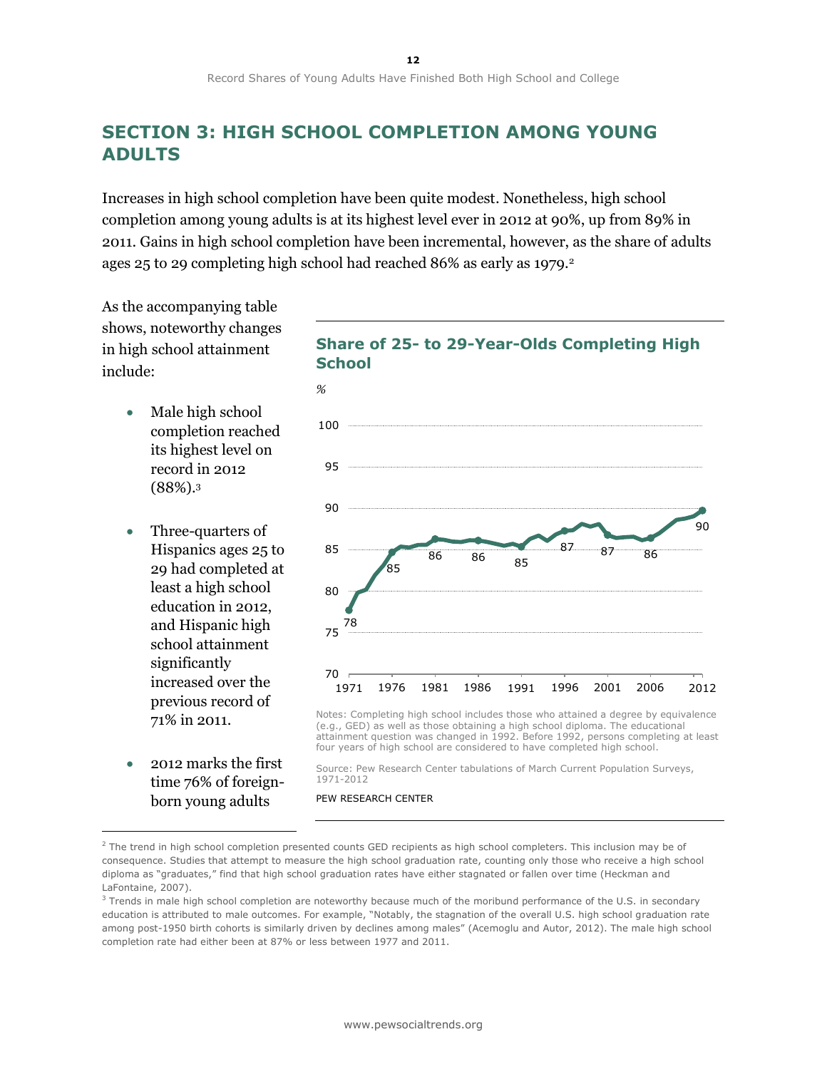# **SECTION 3: HIGH SCHOOL COMPLETION AMONG YOUNG ADULTS**

Increases in high school completion have been quite modest. Nonetheless, high school completion among young adults is at its highest level ever in 2012 at 90%, up from 89% in 2011. Gains in high school completion have been incremental, however, as the share of adults ages 25 to 29 completing high school had reached 86% as early as 1979.<sup>2</sup>

As the accompanying table shows, noteworthy changes in high school attainment include:

- Male high school completion reached its highest level on record in 2012 (88%).<sup>3</sup>
- Three-quarters of Hispanics ages 25 to 29 had completed at least a high school education in 2012, and Hispanic high school attainment significantly increased over the previous record of 71% in 2011.
- 2012 marks the first time 76% of foreignborn young adults

 $\overline{a}$ 





Notes: Completing high school includes those who attained a degree by equivalence (e.g., GED) as well as those obtaining a high school diploma. The educational attainment question was changed in 1992. Before 1992, persons completing at least four years of high school are considered to have completed high school.

Source: Pew Research Center tabulations of March Current Population Surveys, 1971-2012

<sup>&</sup>lt;sup>2</sup> The trend in high school completion presented counts GED recipients as high school completers. This inclusion may be of consequence. Studies that attempt to measure the high school graduation rate, counting only those who receive a high school diploma as "graduates," find that high school graduation rates have either stagnated or fallen over time (Heckman and LaFontaine, 2007).

<sup>&</sup>lt;sup>3</sup> Trends in male high school completion are noteworthy because much of the moribund performance of the U.S. in secondary education is attributed to male outcomes. For example, "Notably, the stagnation of the overall U.S. high school graduation rate among post-1950 birth cohorts is similarly driven by declines among males" (Acemoglu and Autor, 2012). The male high school completion rate had either been at 87% or less between 1977 and 2011.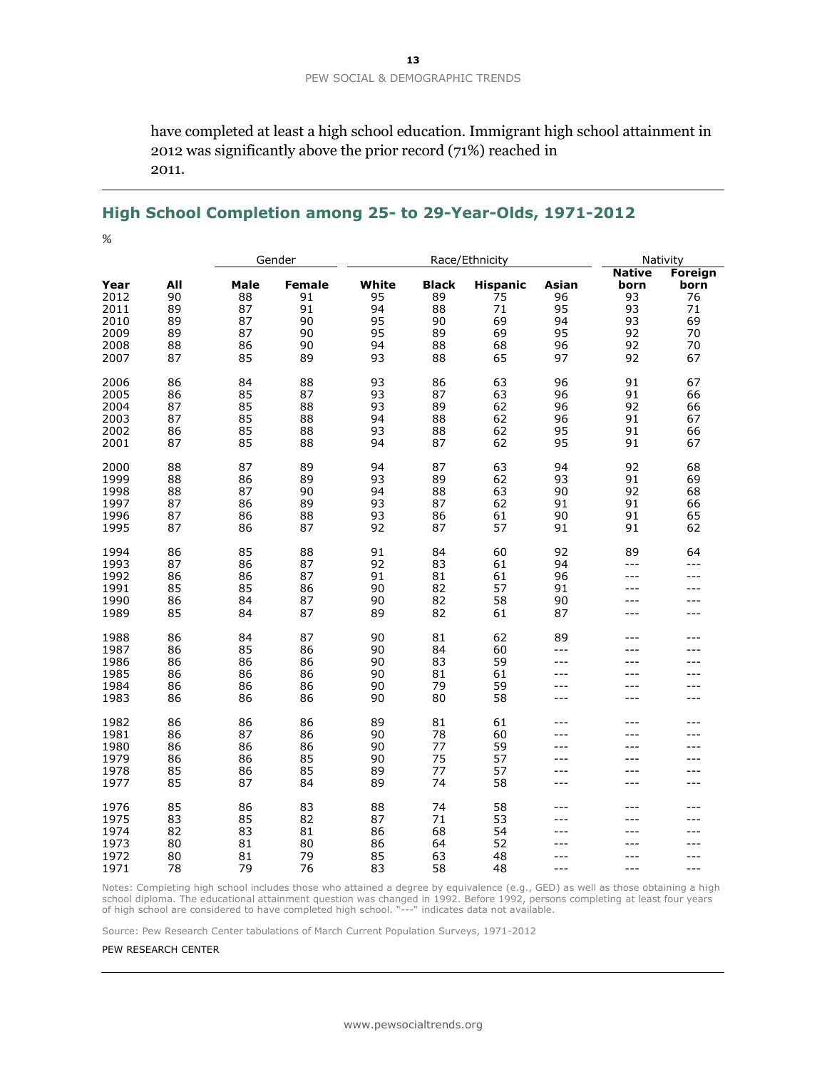have completed at least a high school education. Immigrant high school attainment in 2012 was significantly above the prior record (71%) reached in 2011.

### **High School Completion among 25- to 29-Year-Olds, 1971-2012**

%

|              |     | Gender |               | Race/Ethnicity |              |                 |            | Nativity              |                        |
|--------------|-----|--------|---------------|----------------|--------------|-----------------|------------|-----------------------|------------------------|
| Year         | All | Male   | <b>Female</b> | White          | <b>Black</b> | <b>Hispanic</b> | Asian      | <b>Native</b><br>born | <b>Foreign</b><br>born |
| 2012         | 90  | 88     | 91            | 95             | 89           | 75              | 96         | 93                    | 76                     |
| 2011         | 89  | 87     | 91            | 94             | 88           | 71              | 95         | 93                    | 71                     |
| 2010         | 89  | 87     | 90            | 95             | 90           | 69              | 94         | 93                    | 69                     |
| 2009         | 89  | 87     | 90            | 95             | 89           | 69              | 95         | 92                    | 70                     |
| 2008         | 88  | 86     | 90            | 94             | 88           | 68              | 96         | 92                    | 70                     |
| 2007         | 87  | 85     | 89            | 93             | 88           | 65              | 97         | 92                    | 67                     |
| 2006         | 86  | 84     | 88            | 93             | 86           | 63              | 96         | 91                    | 67                     |
| 2005         | 86  | 85     | 87            | 93             | 87           | 63              | 96         | 91                    | 66                     |
| 2004         | 87  | 85     | 88            | 93             | 89           | 62              | 96         | 92                    | 66                     |
| 2003         | 87  | 85     | 88            | 94             | 88           | 62              | 96         | 91                    | 67                     |
| 2002         | 86  | 85     | 88            | 93             | 88           | 62              | 95         | 91                    | 66                     |
| 2001         | 87  | 85     | 88            | 94             | 87           | 62              | 95         | 91                    | 67                     |
| 2000         | 88  | 87     | 89            | 94             | 87           | 63              | 94         | 92                    | 68                     |
| 1999         | 88  | 86     | 89            | 93             | 89           | 62              | 93         | 91                    | 69                     |
| 1998         | 88  | 87     | 90            | 94             | 88           | 63              | 90         | 92                    | 68                     |
| 1997         | 87  | 86     | 89            | 93             | 87           | 62              | 91         | 91                    | 66                     |
| 1996         | 87  | 86     | 88            | 93             | 86           | 61              | 90         | 91                    | 65                     |
| 1995         | 87  | 86     | 87            | 92             | 87           | 57              | 91         | 91                    | 62                     |
| 1994         | 86  | 85     | 88            | 91             | 84           | 60              | 92         | 89                    | 64                     |
| 1993         | 87  | 86     | 87            | 92             | 83           | 61              | 94         | $- - -$               | $- - -$                |
| 1992         | 86  | 86     | 87            | 91             | 81           | 61              | 96         | ---                   | ---                    |
| 1991         | 85  | 85     | 86            | 90             | 82           | 57              | 91         | $---$<br>$---$        | ---                    |
| 1990         | 86  | 84     | 87            | 90             | 82<br>82     | 58<br>61        | 90         |                       | ---                    |
| 1989         | 85  | 84     | 87            | 89             |              |                 | 87         | ---                   | ---                    |
| 1988         | 86  | 84     | 87            | 90             | 81           | 62              | 89         | $---$                 | ---                    |
| 1987         | 86  | 85     | 86            | 90             | 84           | 60              | $- - -$    |                       | ---                    |
| 1986         | 86  | 86     | 86            | 90             | 83           | 59              | $---$      | $---$                 | ---                    |
| 1985         | 86  | 86     | 86            | 90             | 81           | 61              | ---        | ---                   | ---                    |
| 1984         | 86  | 86     | 86            | 90             | 79           | 59              | $---$      | ---                   | ---                    |
| 1983         | 86  | 86     | 86            | 90             | 80           | 58              | $ -$       | $ -$                  | $---$                  |
| 1982         | 86  | 86     | 86            | 89             | 81           | 61              | $---$      | $- - -$<br>$- - -$    | ---                    |
| 1981         | 86  | 87     | 86            | 90             | 78           | 60<br>59        | ---<br>--- | $- - -$               | ---<br>---             |
| 1980         | 86  | 86     | 86            | 90             | 77<br>75     | 57              | ---        |                       | ---                    |
| 1979<br>1978 | 86  | 86     | 85            | 90             |              |                 | ---        | $---$                 | ---                    |
|              | 85  | 86     | 85            | 89             | 77<br>74     | 57              | ---        |                       | ---                    |
| 1977         | 85  | 87     | 84            | 89             |              | 58              |            |                       |                        |
| 1976         | 85  | 86     | 83            | 88             | 74           | 58              |            |                       | ---                    |
| 1975         | 83  | 85     | 82            | 87             | 71           | 53              | ---        |                       | ---                    |
| 1974         | 82  | 83     | 81            | 86             | 68           | 54              | $---$      |                       | ---                    |
| 1973         | 80  | 81     | 80            | 86             | 64           | 52              | ---        |                       | ---                    |
| 1972         | 80  | 81     | 79            | 85             | 63           | 48              | ---        | $---$                 | ---                    |
| 1971         | 78  | 79     | 76            | 83             | 58           | 48              | $---$      | $---$                 | ---                    |

Notes: Completing high school includes those who attained a degree by equivalence (e.g., GED) as well as those obtaining a high school diploma. The educational attainment question was changed in 1992. Before 1992, persons completing at least four years<br>of high school are considered to have completed high school. "---" indicates data not available.

Source: Pew Research Center tabulations of March Current Population Surveys, 1971-2012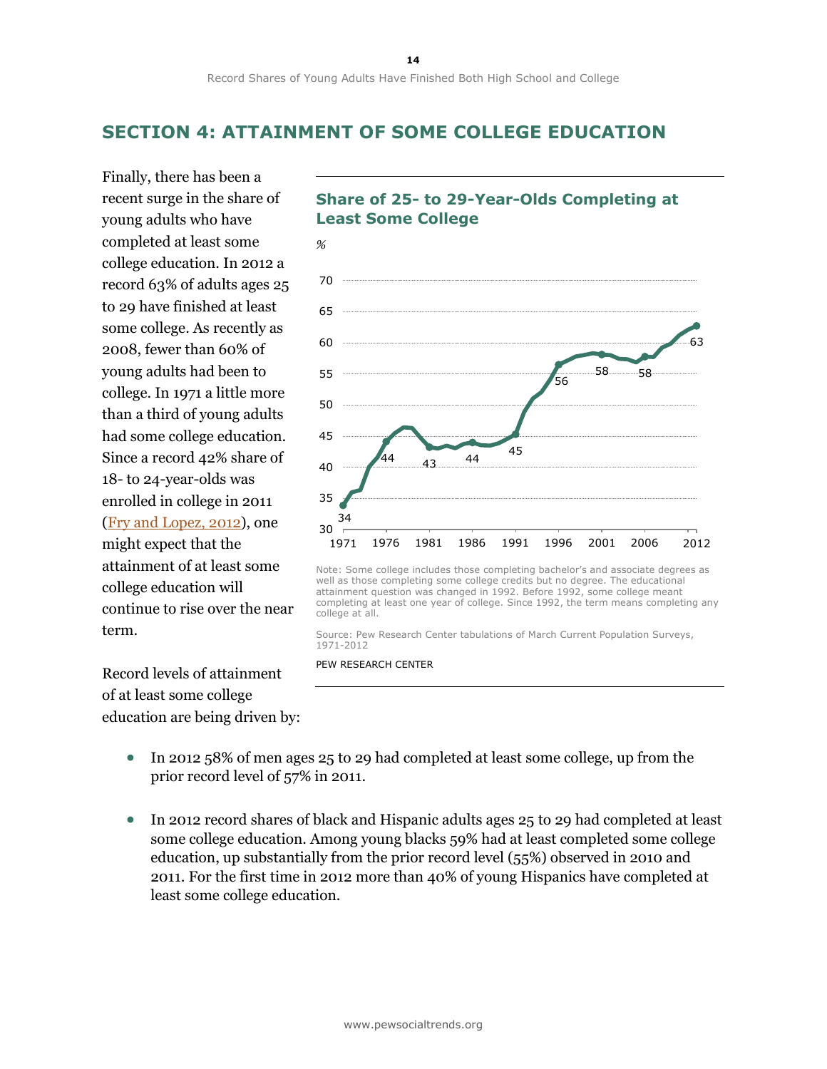# **SECTION 4: ATTAINMENT OF SOME COLLEGE EDUCATION**

**Least Some College**

Finally, there has been a recent surge in the share of young adults who have completed at least some college education. In 2012 a record 63% of adults ages 25 to 29 have finished at least some college. As recently as 2008, fewer than 60% of young adults had been to college. In 1971 a little more than a third of young adults had some college education. Since a record 42% share of 18- to 24-year-olds was enrolled in college in 2011 [\(Fry and Lopez, 2012\)](http://www.pewhispanic.org/2012/08/20/hispanic-student-enrollments-reach-new-highs-in-2011/), one might expect that the attainment of at least some college education will continue to rise over the near term.

Record levels of attainment of at least some college education are being driven by:



**Share of 25- to 29-Year-Olds Completing at** 



Source: Pew Research Center tabulations of March Current Population Surveys, 1971-2012

- In 2012 58% of men ages 25 to 29 had completed at least some college, up from the prior record level of 57% in 2011.
- In 2012 record shares of black and Hispanic adults ages 25 to 29 had completed at least some college education. Among young blacks 59% had at least completed some college education, up substantially from the prior record level (55%) observed in 2010 and 2011. For the first time in 2012 more than 40% of young Hispanics have completed at least some college education.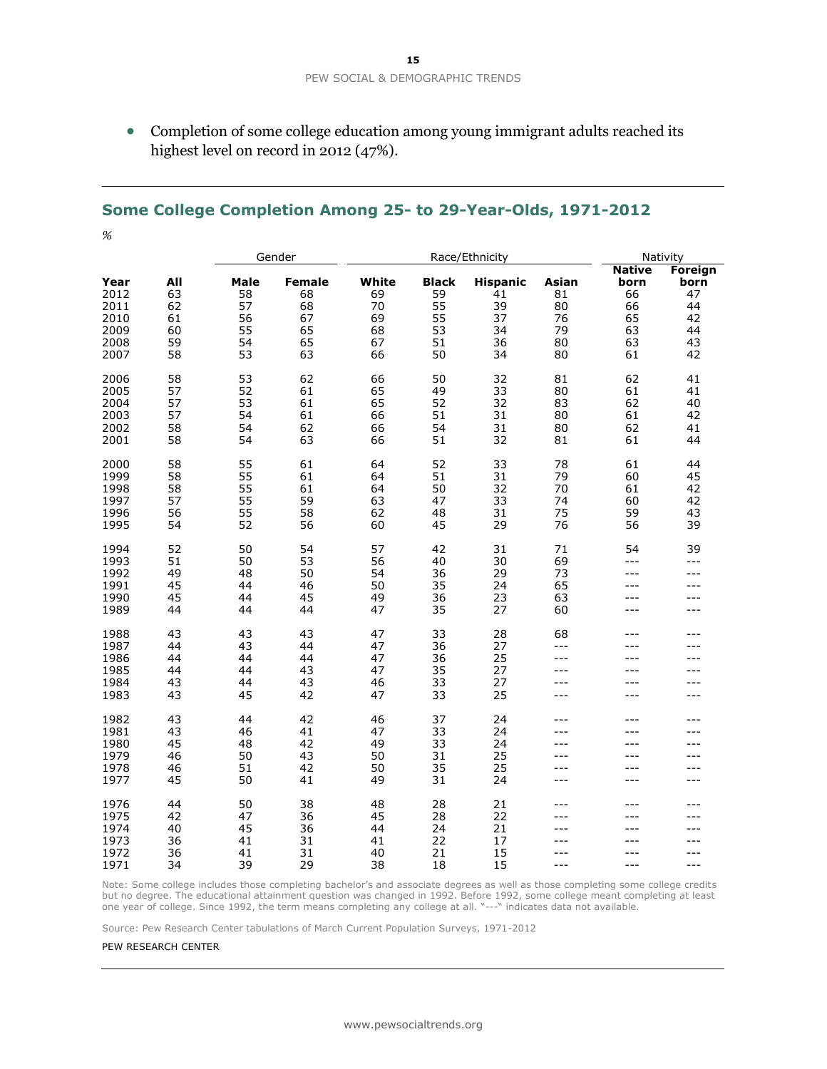Completion of some college education among young immigrant adults reached its highest level on record in 2012 (47%).

### **Some College Completion Among 25- to 29-Year-Olds, 1971-2012**

|                                                      |                                         | Gender                                   |                                                   | Race/Ethnicity                            |                                                  |                                                     |                                           | Nativity                                                  |                                                     |
|------------------------------------------------------|-----------------------------------------|------------------------------------------|---------------------------------------------------|-------------------------------------------|--------------------------------------------------|-----------------------------------------------------|-------------------------------------------|-----------------------------------------------------------|-----------------------------------------------------|
| Year<br>2012<br>2011<br>2010<br>2009<br>2008<br>2007 | All<br>63<br>62<br>61<br>60<br>59<br>58 | Male<br>58<br>57<br>56<br>55<br>54<br>53 | <b>Female</b><br>68<br>68<br>67<br>65<br>65<br>63 | White<br>69<br>70<br>69<br>68<br>67<br>66 | <b>Black</b><br>59<br>55<br>55<br>53<br>51<br>50 | <b>Hispanic</b><br>41<br>39<br>37<br>34<br>36<br>34 | Asian<br>81<br>80<br>76<br>79<br>80<br>80 | <b>Native</b><br>born<br>66<br>66<br>65<br>63<br>63<br>61 | Foreign<br>born<br>47<br>44<br>42<br>44<br>43<br>42 |
| 2006<br>2005<br>2004<br>2003<br>2002<br>2001         | 58<br>57<br>57<br>57<br>58<br>58        | 53<br>52<br>53<br>54<br>54<br>54         | 62<br>61<br>61<br>61<br>62<br>63                  | 66<br>65<br>65<br>66<br>66<br>66          | 50<br>49<br>52<br>51<br>54<br>51                 | 32<br>33<br>32<br>31<br>31<br>32                    | 81<br>80<br>83<br>80<br>80<br>81          | 62<br>61<br>62<br>61<br>62<br>61                          | 41<br>41<br>40<br>42<br>41<br>44                    |
| 2000<br>1999<br>1998<br>1997<br>1996<br>1995         | 58<br>58<br>58<br>57<br>56<br>54        | 55<br>55<br>55<br>55<br>55<br>52         | 61<br>61<br>61<br>59<br>58<br>56                  | 64<br>64<br>64<br>63<br>62<br>60          | 52<br>51<br>50<br>47<br>48<br>45                 | 33<br>31<br>32<br>33<br>31<br>29                    | 78<br>79<br>70<br>74<br>75<br>76          | 61<br>60<br>61<br>60<br>59<br>56                          | 44<br>45<br>42<br>42<br>43<br>39                    |
| 1994<br>1993<br>1992<br>1991<br>1990<br>1989         | 52<br>51<br>49<br>45<br>45<br>44        | 50<br>50<br>48<br>44<br>44<br>44         | 54<br>53<br>50<br>46<br>45<br>44                  | 57<br>56<br>54<br>50<br>49<br>47          | 42<br>40<br>36<br>35<br>36<br>35                 | 31<br>30<br>29<br>24<br>23<br>27                    | 71<br>69<br>73<br>65<br>63<br>60          | 54<br>---<br>---                                          | 39<br>$- - -$<br>---<br>$---$<br>$---$<br>$---$     |
| 1988<br>1987<br>1986<br>1985<br>1984<br>1983         | 43<br>44<br>44<br>44<br>43<br>43        | 43<br>43<br>44<br>44<br>44<br>45         | 43<br>44<br>44<br>43<br>43<br>42                  | 47<br>47<br>47<br>47<br>46<br>47          | 33<br>36<br>36<br>35<br>33<br>33                 | 28<br>27<br>25<br>27<br>27<br>25                    | 68<br>$-$<br>$- - -$<br>---<br>---<br>--- | ---<br>$---$<br>$- - -$<br>---                            | $---$<br>---<br>---<br>$---$<br>$---$<br>$---$      |
| 1982<br>1981<br>1980<br>1979<br>1978<br>1977         | 43<br>43<br>45<br>46<br>46<br>45        | 44<br>46<br>48<br>50<br>51<br>50         | 42<br>41<br>42<br>43<br>42<br>41                  | 46<br>47<br>49<br>50<br>50<br>49          | 37<br>33<br>33<br>31<br>35<br>31                 | 24<br>24<br>24<br>25<br>25<br>24                    | ---<br>---<br>---<br>---                  | $---$<br>$---$<br>---                                     | $---$<br>$---$<br>$---$<br>$---$<br>---<br>$---$    |
| 1976<br>1975<br>1974<br>1973<br>1972<br>1971         | 44<br>42<br>40<br>36<br>36<br>34        | 50<br>47<br>45<br>41<br>41<br>39         | 38<br>36<br>36<br>31<br>31<br>29                  | 48<br>45<br>44<br>41<br>40<br>38          | 28<br>28<br>24<br>22<br>21<br>18                 | 21<br>22<br>21<br>17<br>15<br>15                    | ---<br>---<br>---<br>$- - -$<br>---       |                                                           | $---$<br>---<br>---<br>---<br>$---$                 |

Note: Some college includes those completing bachelor's and associate degrees as well as those completing some college credits but no degree. The educational attainment question was changed in 1992. Before 1992, some college meant completing at least one year of college. Since 1992, the term means completing any college at all. "---" indicates data not available.

Source: Pew Research Center tabulations of March Current Population Surveys, 1971-2012

#### PEW RESEARCH CENTER

*%*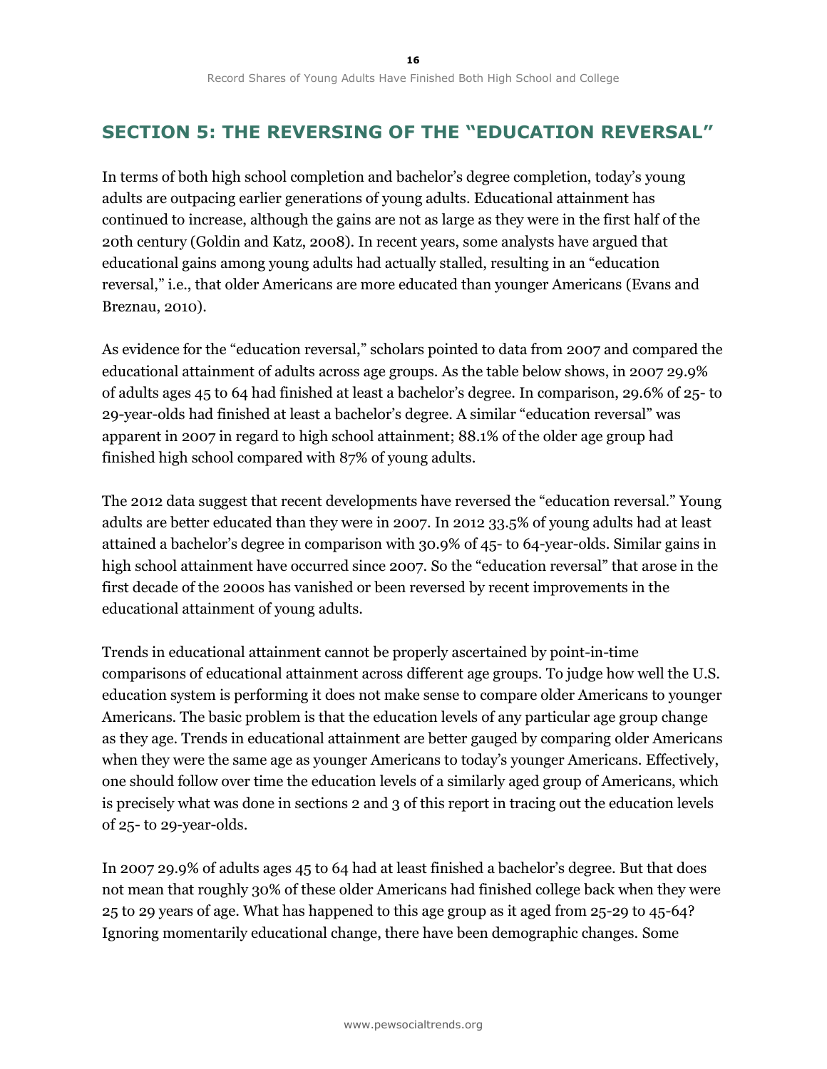# **SECTION 5: THE REVERSING OF THE "EDUCATION REVERSAL"**

In terms of both high school completion and bachelor's degree completion, today's young adults are outpacing earlier generations of young adults. Educational attainment has continued to increase, although the gains are not as large as they were in the first half of the 20th century (Goldin and Katz, 2008). In recent years, some analysts have argued that educational gains among young adults had actually stalled, resulting in an "education reversal," i.e., that older Americans are more educated than younger Americans (Evans and Breznau, 2010).

As evidence for the "education reversal," scholars pointed to data from 2007 and compared the educational attainment of adults across age groups. As the table below shows, in 2007 29.9% of adults ages 45 to 64 had finished at least a bachelor's degree. In comparison, 29.6% of 25- to 29-year-olds had finished at least a bachelor's degree. A similar "education reversal" was apparent in 2007 in regard to high school attainment; 88.1% of the older age group had finished high school compared with 87% of young adults.

The 2012 data suggest that recent developments have reversed the "education reversal." Young adults are better educated than they were in 2007. In 2012 33.5% of young adults had at least attained a bachelor's degree in comparison with 30.9% of 45- to 64-year-olds. Similar gains in high school attainment have occurred since 2007. So the "education reversal" that arose in the first decade of the 2000s has vanished or been reversed by recent improvements in the educational attainment of young adults.

Trends in educational attainment cannot be properly ascertained by point-in-time comparisons of educational attainment across different age groups. To judge how well the U.S. education system is performing it does not make sense to compare older Americans to younger Americans. The basic problem is that the education levels of any particular age group change as they age. Trends in educational attainment are better gauged by comparing older Americans when they were the same age as younger Americans to today's younger Americans. Effectively, one should follow over time the education levels of a similarly aged group of Americans, which is precisely what was done in sections 2 and 3 of this report in tracing out the education levels of 25- to 29-year-olds.

In 2007 29.9% of adults ages 45 to 64 had at least finished a bachelor's degree. But that does not mean that roughly 30% of these older Americans had finished college back when they were 25 to 29 years of age. What has happened to this age group as it aged from 25-29 to 45-64? Ignoring momentarily educational change, there have been demographic changes. Some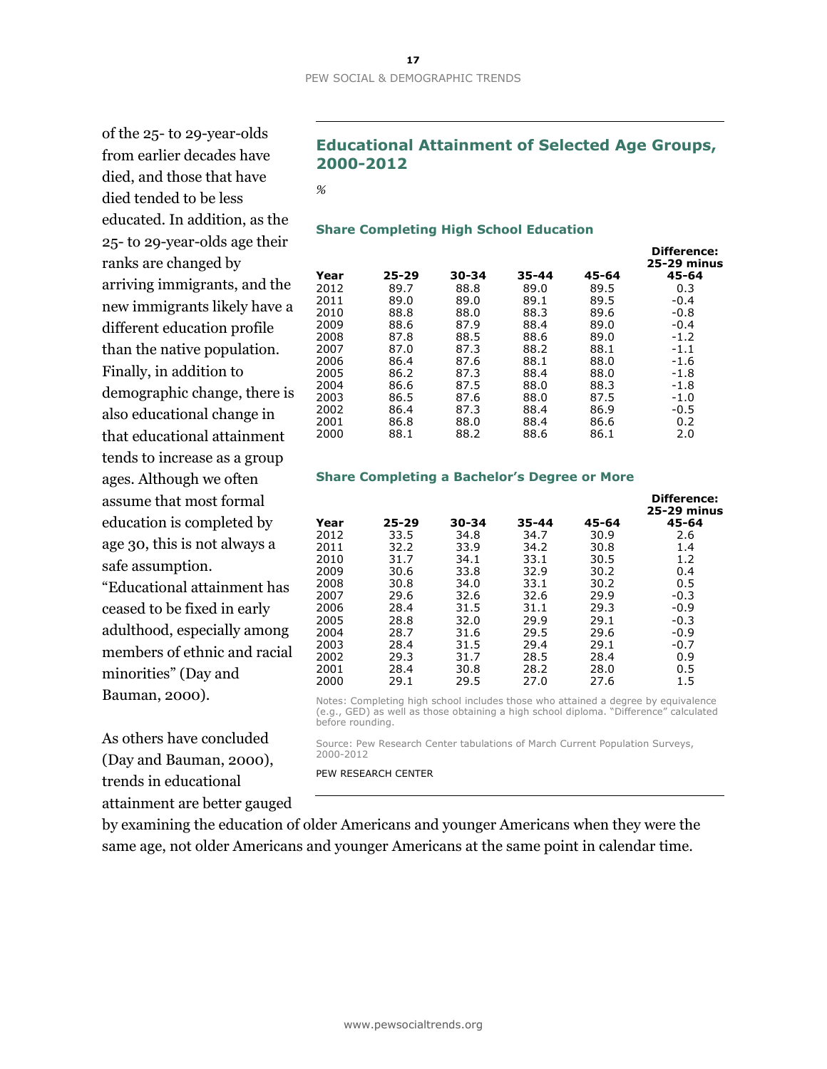of the 25- to 29-year-olds from earlier decades have died, and those that have died tended to be less educated. In addition, as the 25- to 29-year-olds age their ranks are changed by arriving immigrants, and the new immigrants likely have a different education profile than the native population. Finally, in addition to demographic change, there is also educational change in that educational attainment tends to increase as a group ages. Although we often assume that most formal education is completed by age 30, this is not always a safe assumption. "Educational attainment has

ceased to be fixed in early adulthood, especially among members of ethnic and racial minorities" (Day and Bauman, 2000).

As others have concluded (Day and Bauman, 2000), trends in educational attainment are better gauged

### **Educational Attainment of Selected Age Groups, 2000-2012**

*%*

### **Share Completing High School Education**

|      |           |       |       |       | <b>Difference:</b><br><b>25-29 minus</b> |
|------|-----------|-------|-------|-------|------------------------------------------|
| Year | $25 - 29$ | 30-34 | 35-44 | 45-64 | 45-64                                    |
| 2012 | 89.7      | 88.8  | 89.0  | 89.5  | 0.3                                      |
| 2011 | 89.0      | 89.0  | 89.1  | 89.5  | $-0.4$                                   |
| 2010 | 88.8      | 88.0  | 88.3  | 89.6  | $-0.8$                                   |
| 2009 | 88.6      | 87.9  | 88.4  | 89.0  | $-0.4$                                   |
| 2008 | 87.8      | 88.5  | 88.6  | 89.0  | $-1.2$                                   |
| 2007 | 87.0      | 87.3  | 88.2  | 88.1  | $-1.1$                                   |
| 2006 | 86.4      | 87.6  | 88.1  | 88.0  | $-1.6$                                   |
| 2005 | 86.2      | 87.3  | 88.4  | 88.0  | $-1.8$                                   |
| 2004 | 86.6      | 87.5  | 88.0  | 88.3  | $-1.8$                                   |
| 2003 | 86.5      | 87.6  | 88.0  | 87.5  | $-1.0$                                   |
| 2002 | 86.4      | 87.3  | 88.4  | 86.9  | $-0.5$                                   |
| 2001 | 86.8      | 88.0  | 88.4  | 86.6  | 0.2                                      |
| 2000 | 88.1      | 88.2  | 88.6  | 86.1  | 2.0                                      |
|      |           |       |       |       |                                          |

#### **Share Completing a Bachelor's Degree or More**

|      |           |       |           |       | Difference:<br><b>25-29 minus</b> |
|------|-----------|-------|-----------|-------|-----------------------------------|
| Year | $25 - 29$ | 30-34 | $35 - 44$ | 45-64 | 45-64                             |
| 2012 | 33.5      | 34.8  | 34.7      | 30.9  | 2.6                               |
| 2011 | 32.2      | 33.9  | 34.2      | 30.8  | 1.4                               |
| 2010 | 31.7      | 34.1  | 33.1      | 30.5  | 1.2                               |
| 2009 | 30.6      | 33.8  | 32.9      | 30.2  | 0.4                               |
| 2008 | 30.8      | 34.0  | 33.1      | 30.2  | 0.5                               |
| 2007 | 29.6      | 32.6  | 32.6      | 29.9  | $-0.3$                            |
| 2006 | 28.4      | 31.5  | 31.1      | 29.3  | $-0.9$                            |
| 2005 | 28.8      | 32.0  | 29.9      | 29.1  | $-0.3$                            |
| 2004 | 28.7      | 31.6  | 29.5      | 29.6  | $-0.9$                            |
| 2003 | 28.4      | 31.5  | 29.4      | 29.1  | $-0.7$                            |
| 2002 | 29.3      | 31.7  | 28.5      | 28.4  | 0.9                               |
| 2001 | 28.4      | 30.8  | 28.2      | 28.0  | 0.5                               |
| 2000 | 29.1      | 29.5  | 27.0      | 27.6  | 1.5                               |
|      |           |       |           |       |                                   |

Notes: Completing high school includes those who attained a degree by equivalence (e.g., GED) as well as those obtaining a high school diploma. "Difference" calculated before rounding.

Source: Pew Research Center tabulations of March Current Population Surveys, 2000-2012

PEW RESEARCH CENTER

by examining the education of older Americans and younger Americans when they were the same age, not older Americans and younger Americans at the same point in calendar time.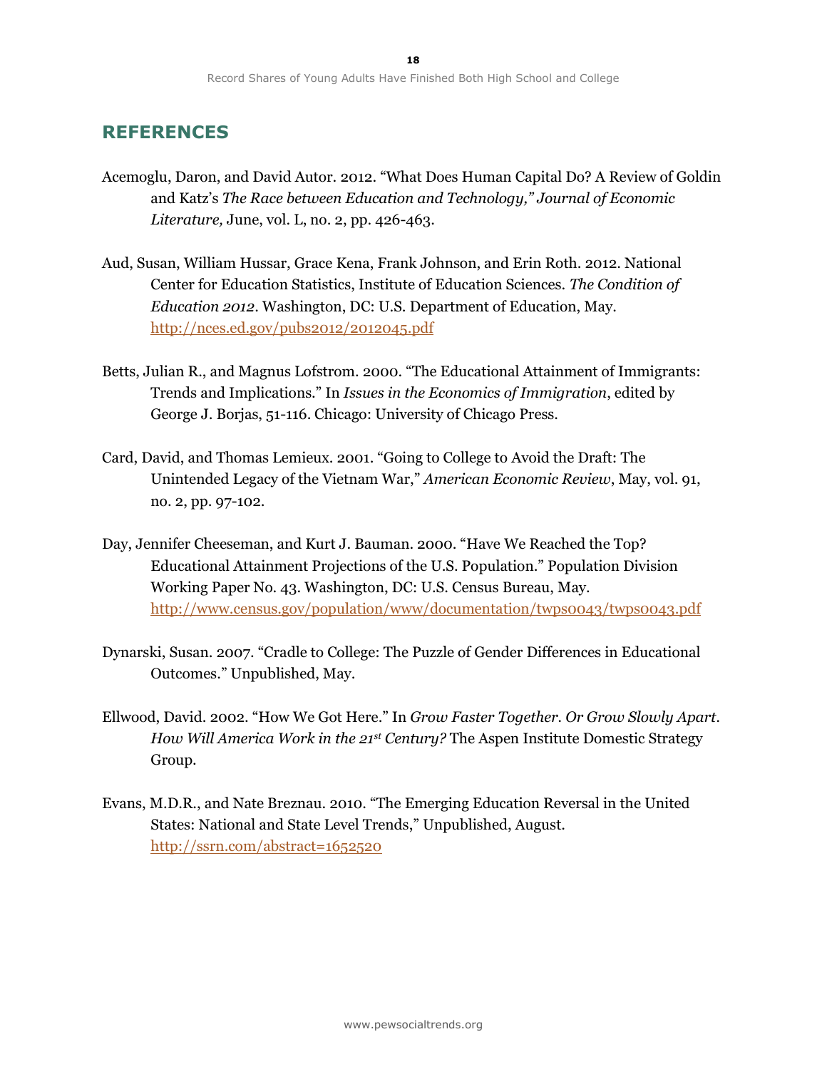### **REFERENCES**

- Acemoglu, Daron, and David Autor. 2012. "What Does Human Capital Do? A Review of Goldin and Katz's *The Race between Education and Technology," Journal of Economic Literature,* June, vol. L, no. 2, pp. 426-463.
- Aud, Susan, William Hussar, Grace Kena, Frank Johnson, and Erin Roth. 2012. National Center for Education Statistics, Institute of Education Sciences. *The Condition of Education 2012*. Washington, DC: U.S. Department of Education, May. <http://nces.ed.gov/pubs2012/2012045.pdf>
- Betts, Julian R., and Magnus Lofstrom. 2000. "The Educational Attainment of Immigrants: Trends and Implications." In *Issues in the Economics of Immigration*, edited by George J. Borjas, 51-116. Chicago: University of Chicago Press.
- Card, David, and Thomas Lemieux. 2001. "Going to College to Avoid the Draft: The Unintended Legacy of the Vietnam War," *American Economic Review*, May, vol. 91, no. 2, pp. 97-102.
- Day, Jennifer Cheeseman, and Kurt J. Bauman. 2000. "Have We Reached the Top? Educational Attainment Projections of the U.S. Population." Population Division Working Paper No. 43. Washington, DC: U.S. Census Bureau, May. <http://www.census.gov/population/www/documentation/twps0043/twps0043.pdf>
- Dynarski, Susan. 2007. "Cradle to College: The Puzzle of Gender Differences in Educational Outcomes." Unpublished, May.
- Ellwood, David. 2002. "How We Got Here." In *Grow Faster Together. Or Grow Slowly Apart. How Will America Work in the 21st Century?* The Aspen Institute Domestic Strategy Group.
- Evans, M.D.R., and Nate Breznau. 2010. "The Emerging Education Reversal in the United States: National and State Level Trends," Unpublished, August. <http://ssrn.com/abstract=1652520>